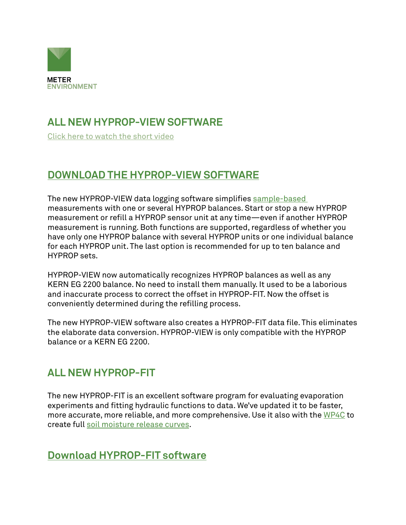

## **ALL NEW HYPROP-VIEW SOFTWARE**

[Click here to watch the short video](https://metergroup.wistia.com/medias/hxtpgmrgz7)

#### **[DOWNLOAD THE HYPROP-VIEW SOFTWARE](https://www.metergroup.com/en/meter-environment/products/hyprop-2/hyprop-2-support)**

The new HYPROP-VIEW data logging software simplifies sample-based measurements with one or several HYPROP balances. Start or stop a new HYPROP measurement or refill a HYPROP sensor unit at any time—even if another HYPROP measurement is running. Both functions are supported, regardless of whether you have only one HYPROP balance with several HYPROP units or one individual balance for each HYPROP unit. The last option is recommended for up to ten balance and HYPROP sets.

HYPROP-VIEW now automatically recognizes HYPROP balances as well as any KERN EG 2200 balance. No need to install them manually. It used to be a laborious and inaccurate process to correct the offset in HYPROP-FIT. Now the offset is conveniently determined during the refilling process.

The new HYPROP-VIEW software also creates a HYPROP-FIT data file. This eliminates the elaborate data conversion. HYPROP-VIEW is only compatible with the HYPROP balance or a KERN EG 2200.

#### **ALL NEW HYPROP-FIT**

The new HYPROP-FIT is an excellent software program for evaluating evaporation experiments and fitting hydraulic functions to data. We've updated it to be faster, more accurate, more reliable, and more comprehensive. Use it also with the [WP4C](https://www.metergroup.com/environment/products/wp4c/) to create full [soil moisture release curves](https://www.metergroup.com/meter_knowledgebase/create-full-moisture-release-curve-using-wp4c-hyprop/).

#### **[Download HYPROP-FIT software](https://www.metergroup.com/en/meter-environment/products/hyprop-2/hyprop-2-support)**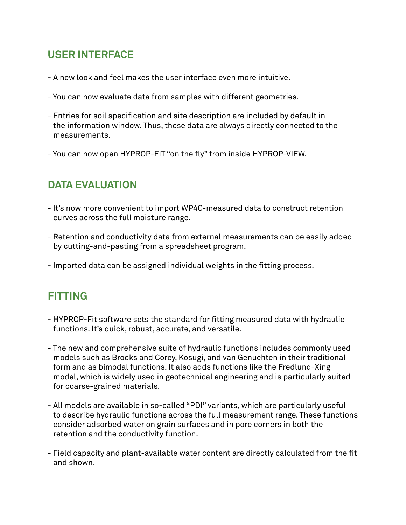### **USER INTERFACE**

- A new look and feel makes the user interface even more intuitive.
- You can now evaluate data from samples with different geometries.
- Entries for soil specification and site description are included by default in the information window. Thus, these data are always directly connected to the measurements.
- You can now open HYPROP-FIT "on the fly" from inside HYPROP-VIEW.

# **DATA EVALUATION**

- It's now more convenient to import WP4C-measured data to construct retention curves across the full moisture range.
- Retention and conductivity data from external measurements can be easily added by cutting-and-pasting from a spreadsheet program.
- Imported data can be assigned individual weights in the fitting process.

#### **FITTING**

- HYPROP-Fit software sets the standard for fitting measured data with hydraulic functions. It's quick, robust, accurate, and versatile.
- The new and comprehensive suite of hydraulic functions includes commonly used models such as Brooks and Corey, Kosugi, and van Genuchten in their traditional form and as bimodal functions. It also adds functions like the Fredlund-Xing model, which is widely used in geotechnical engineering and is particularly suited for coarse-grained materials.
- All models are available in so-called "PDI" variants, which are particularly useful to describe hydraulic functions across the full measurement range. These functions consider adsorbed water on grain surfaces and in pore corners in both the retention and the conductivity function.
- Field capacity and plant-available water content are directly calculated from the fit and shown.